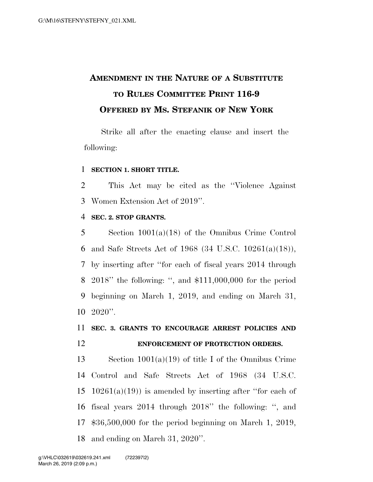## **AMENDMENT IN THE NATURE OF A SUBSTITUTE TO RULES COMMITTEE PRINT 116-9 OFFERED BY MS. STEFANIK OF NEW YORK**

Strike all after the enacting clause and insert the following:

### **SECTION 1. SHORT TITLE.**

 This Act may be cited as the ''Violence Against Women Extension Act of 2019''.

### **SEC. 2. STOP GRANTS.**

 Section 1001(a)(18) of the Omnibus Crime Control and Safe Streets Act of 1968 (34 U.S.C. 10261(a)(18)), by inserting after ''for each of fiscal years 2014 through 2018'' the following: '', and \$111,000,000 for the period beginning on March 1, 2019, and ending on March 31,  $10\ 2020$ ".

## **SEC. 3. GRANTS TO ENCOURAGE ARREST POLICIES AND ENFORCEMENT OF PROTECTION ORDERS.**

 Section 1001(a)(19) of title I of the Omnibus Crime Control and Safe Streets Act of 1968 (34 U.S.C. 15 10261(a)(19)) is amended by inserting after "for each of fiscal years 2014 through 2018'' the following: '', and \$36,500,000 for the period beginning on March 1, 2019, and ending on March 31, 2020''.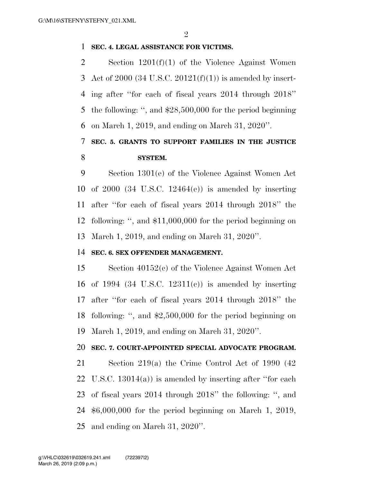### **SEC. 4. LEGAL ASSISTANCE FOR VICTIMS.**

 Section 1201(f)(1) of the Violence Against Women 3 Act of 2000 (34 U.S.C. 20121 $(f)(1)$ ) is amended by insert- ing after ''for each of fiscal years 2014 through 2018'' the following: '', and \$28,500,000 for the period beginning on March 1, 2019, and ending on March 31, 2020''.

## **SEC. 5. GRANTS TO SUPPORT FAMILIES IN THE JUSTICE SYSTEM.**

 Section 1301(e) of the Violence Against Women Act of 2000 (34 U.S.C. 12464(e)) is amended by inserting after ''for each of fiscal years 2014 through 2018'' the following: '', and \$11,000,000 for the period beginning on March 1, 2019, and ending on March 31, 2020''.

### **SEC. 6. SEX OFFENDER MANAGEMENT.**

 Section 40152(c) of the Violence Against Women Act of 1994 (34 U.S.C. 12311(c)) is amended by inserting after ''for each of fiscal years 2014 through 2018'' the following: '', and \$2,500,000 for the period beginning on March 1, 2019, and ending on March 31, 2020''.

### **SEC. 7. COURT-APPOINTED SPECIAL ADVOCATE PROGRAM.**

 Section 219(a) the Crime Control Act of 1990 (42 U.S.C. 13014(a)) is amended by inserting after ''for each of fiscal years 2014 through 2018'' the following: '', and \$6,000,000 for the period beginning on March 1, 2019, and ending on March 31, 2020''.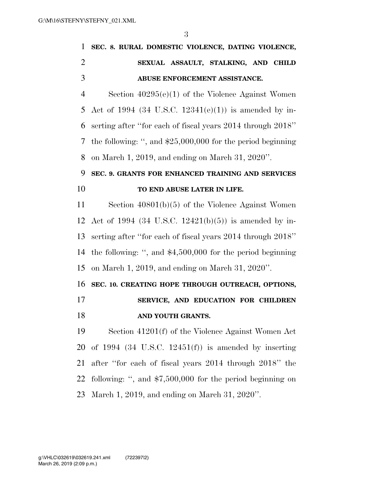|               | 1 SEC. 8. RURAL DOMESTIC VIOLENCE, DATING VIOLENCE, |
|---------------|-----------------------------------------------------|
| $\mathcal{L}$ | SEXUAL ASSAULT, STALKING, AND CHILD                 |
| -3            | ABUSE ENFORCEMENT ASSISTANCE.                       |
|               | Section $40295(e)(1)$ of the Violence Against Women |

 Act of 1994 (34 U.S.C. 12341(e)(1)) is amended by in- serting after ''for each of fiscal years 2014 through 2018'' the following: '', and \$25,000,000 for the period beginning on March 1, 2019, and ending on March 31, 2020''.

## **SEC. 9. GRANTS FOR ENHANCED TRAINING AND SERVICES TO END ABUSE LATER IN LIFE.**

 Section 40801(b)(5) of the Violence Against Women Act of 1994 (34 U.S.C. 12421(b)(5)) is amended by in- serting after ''for each of fiscal years 2014 through 2018'' the following: '', and \$4,500,000 for the period beginning on March 1, 2019, and ending on March 31, 2020''.

### **SEC. 10. CREATING HOPE THROUGH OUTREACH, OPTIONS,**

 **SERVICE, AND EDUCATION FOR CHILDREN AND YOUTH GRANTS.** 

 Section 41201(f) of the Violence Against Women Act of 1994 (34 U.S.C. 12451(f)) is amended by inserting after ''for each of fiscal years 2014 through 2018'' the following: '', and \$7,500,000 for the period beginning on March 1, 2019, and ending on March 31, 2020''.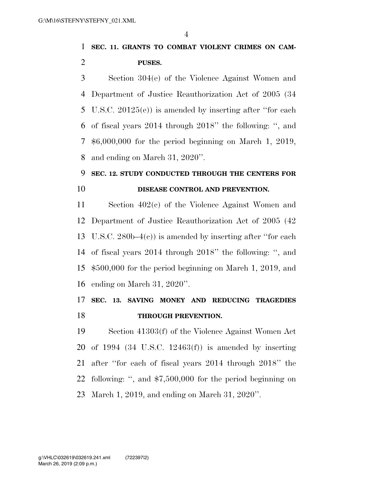## **SEC. 11. GRANTS TO COMBAT VIOLENT CRIMES ON CAM-PUSES.**

 Section 304(e) of the Violence Against Women and Department of Justice Reauthorization Act of 2005 (34 U.S.C. 20125(e)) is amended by inserting after ''for each of fiscal years 2014 through 2018'' the following: '', and \$6,000,000 for the period beginning on March 1, 2019, and ending on March 31, 2020''.

### **SEC. 12. STUDY CONDUCTED THROUGH THE CENTERS FOR**

### **DISEASE CONTROL AND PREVENTION.**

 Section 402(c) of the Violence Against Women and Department of Justice Reauthorization Act of 2005 (42 U.S.C. 280b–4(c)) is amended by inserting after ''for each of fiscal years 2014 through 2018'' the following: '', and \$500,000 for the period beginning on March 1, 2019, and ending on March 31, 2020''.

## **SEC. 13. SAVING MONEY AND REDUCING TRAGEDIES THROUGH PREVENTION.**

 Section 41303(f) of the Violence Against Women Act of 1994 (34 U.S.C. 12463(f)) is amended by inserting after ''for each of fiscal years 2014 through 2018'' the following: '', and \$7,500,000 for the period beginning on March 1, 2019, and ending on March 31, 2020''.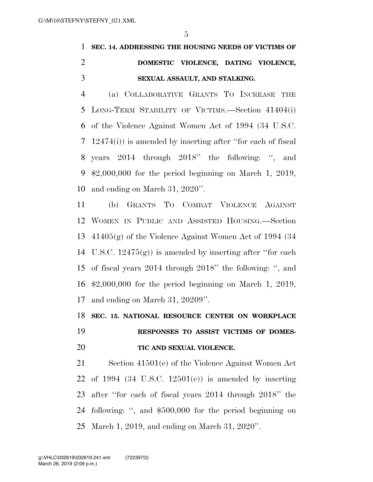## **SEC. 14. ADDRESSING THE HOUSING NEEDS OF VICTIMS OF DOMESTIC VIOLENCE, DATING VIOLENCE, SEXUAL ASSAULT, AND STALKING.**

 (a) COLLABORATIVE GRANTS TO INCREASE THE LONG-TERM STABILITY OF VICTIMS.—Section 41404(i) of the Violence Against Women Act of 1994 (34 U.S.C. 12474(i)) is amended by inserting after ''for each of fiscal years 2014 through 2018'' the following: '', and \$2,000,000 for the period beginning on March 1, 2019, and ending on March 31, 2020''.

 (b) GRANTS TO COMBAT VIOLENCE AGAINST WOMEN IN PUBLIC AND ASSISTED HOUSING.—Section 41405(g) of the Violence Against Women Act of 1994 (34 U.S.C. 12475(g)) is amended by inserting after ''for each of fiscal years 2014 through 2018'' the following: '', and \$2,000,000 for the period beginning on March 1, 2019, and ending on March 31, 20209''.

 **SEC. 15. NATIONAL RESOURCE CENTER ON WORKPLACE RESPONSES TO ASSIST VICTIMS OF DOMES-**

# **TIC AND SEXUAL VIOLENCE.**

 Section 41501(e) of the Violence Against Women Act of 1994 (34 U.S.C. 12501(e)) is amended by inserting after ''for each of fiscal years 2014 through 2018'' the following: '', and \$500,000 for the period beginning on March 1, 2019, and ending on March 31, 2020''.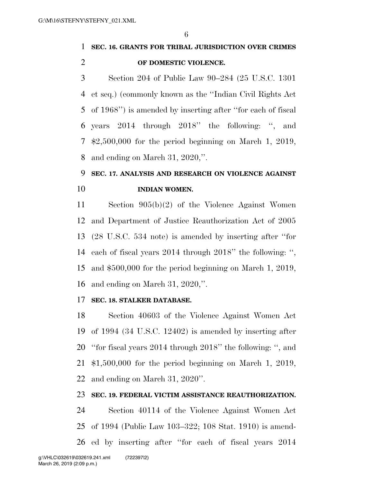## **SEC. 16. GRANTS FOR TRIBAL JURISDICTION OVER CRIMES OF DOMESTIC VIOLENCE.**

 Section 204 of Public Law 90–284 (25 U.S.C. 1301 et seq.) (commonly known as the ''Indian Civil Rights Act of 1968'') is amended by inserting after ''for each of fiscal years 2014 through 2018'' the following: '', and \$2,500,000 for the period beginning on March 1, 2019, and ending on March 31, 2020,''.

## **SEC. 17. ANALYSIS AND RESEARCH ON VIOLENCE AGAINST INDIAN WOMEN.**

 Section 905(b)(2) of the Violence Against Women and Department of Justice Reauthorization Act of 2005 (28 U.S.C. 534 note) is amended by inserting after ''for each of fiscal years 2014 through 2018'' the following: '', and \$500,000 for the period beginning on March 1, 2019, and ending on March 31, 2020,''.

### **SEC. 18. STALKER DATABASE.**

 Section 40603 of the Violence Against Women Act of 1994 (34 U.S.C. 12402) is amended by inserting after ''for fiscal years 2014 through 2018'' the following: '', and \$1,500,000 for the period beginning on March 1, 2019, and ending on March 31, 2020''.

### **SEC. 19. FEDERAL VICTIM ASSISTANCE REAUTHORIZATION.**

 Section 40114 of the Violence Against Women Act of 1994 (Public Law 103–322; 108 Stat. 1910) is amend-ed by inserting after ''for each of fiscal years 2014